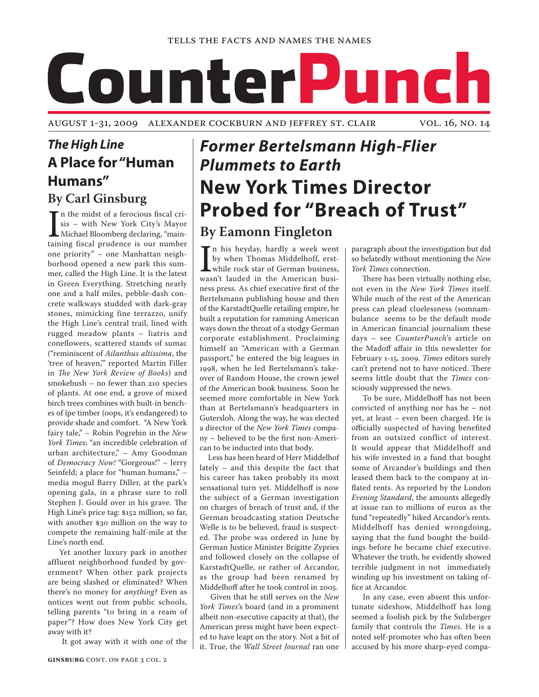# CounterPunch

August 1-31, 2009 Alexander Cockburn and Jeffrey St. Clair vol. 16, no. 14

# *The High Line* **A Place for "Human Humans" By Carl Ginsburg**

In the midst of a ferocious fiscal crisis – with New York City's Mayor<br>Michael Bloomberg declaring, "main-<br>taining fiscal prudence is our number In the midst of a ferocious fiscal crisis – with New York City's Mayor **L** Michael Bloomberg declaring, "mainone priority" – one Manhattan neighborhood opened a new park this summer, called the High Line. It is the latest in Green Everything. Stretching nearly one and a half miles, pebble-dash concrete walkways studded with dark-gray stones, mimicking fine terrazzo, unify the High Line's central trail, lined with rugged meadow plants – liatris and coneflowers, scattered stands of sumac ("reminiscent of *Ailanthus altissima*, the 'tree of heaven,'" reported Martin Filler in *The New York Review of Books*) and smokebush – no fewer than 210 species of plants. At one end, a grove of mixed birch trees combines with built-in benches of îpe timber (oops, it's endangered) to provide shade and comfort. "A New York fairy tale," – Robin Pogrebin in the *New York Times*; "an incredible celebration of urban architecture," – Amy Goodman of *Democracy Now!* "Gorgeous!" – Jerry Seinfeld; a place for "human humans," – media mogul Barry Diller, at the park's opening gala, in a phrase sure to roll Stephen J. Gould over in his grave. The High Line's price tag: \$152 million, so far, with another \$30 million on the way to compete the remaining half-mile at the Line's north end.

 Yet another luxury park in another affluent neighborhood funded by government? When other park projects are being slashed or eliminated? When there's no money for *anything*? Even as notices went out from public schools, telling parents "to bring in a ream of paper"? How does New York City get away with it?

It got away with it with one of the

# *Former Bertelsmann High-Flier Plummets to Earth* **New York Times Director Probed for "Breach of Trust"**

# **By Eamonn Fingleton**

In his heyday, hardly a week went<br>by when Thomas Middelhoff, erst-<br>while rock star of German business,<br>wasn't lauded in the American busin his heyday, hardly a week went by when Thomas Middelhoff, erstwhile rock star of German business, ness press. As chief executive first of the Bertelsmann publishing house and then of the KarstadtQuelle retailing empire, he built a reputation for ramming American ways down the throat of a stodgy German corporate establishment. Proclaiming himself an "American with a German passport," he entered the big leagues in 1998, when he led Bertelsmann's takeover of Random House, the crown jewel of the American book business. Soon he seemed more comfortable in New York than at Bertelsmann's headquarters in Gutersloh. Along the way, he was elected a director of the *New York Times* company – believed to be the first non-American to be inducted into that body.

Less has been heard of Herr Middelhof lately – and this despite the fact that his career has taken probably its most sensational turn yet. Middelhoff is now the subject of a German investigation on charges of breach of trust and, if the German broadcasting station Deutsche Welle is to be believed, fraud is suspected. The probe was ordered in June by German Justice Minister Brigitte Zypries and followed closely on the collapse of KarstadtQuelle, or rather of Arcandor, as the group had been renamed by Middelhoff after he took control in 2005.

 Given that he still serves on the *New York Times*'s board (and in a prominent albeit non-executive capacity at that), the American press might have been expected to have leapt on the story. Not a bit of it. True, the *Wall Street Journal* ran one paragraph about the investigation but did so belatedly without mentioning the *New York Times* connection.

 There has been virtually nothing else, not even in the *New York Times* itself. While much of the rest of the American press can plead cluelessness (somnambulance seems to be the default mode in American financial journalism these days – see *CounterPunch*'s article on the Madoff affair in this newsletter for February 1-15, 2009. *Times* editors surely can't pretend not to have noticed. There seems little doubt that the *Times* consciously suppressed the news.

 To be sure, Middelhoff has not been convicted of anything nor has he – not yet, at least – even been charged. He is officially suspected of having benefited from an outsized conflict of interest. It would appear that Middelhoff and his wife invested in a fund that bought some of Arcandor's buildings and then leased them back to the company at inflated rents. As reported by the London *Evening Standard*, the amounts allegedly at issue ran to millions of euros as the fund "repeatedly" hiked Arcandor's rents. Middelhoff has denied wrongdoing, saying that the fund bought the buildings before he became chief executive. Whatever the truth, he evidently showed terrible judgment in not immediately winding up his investment on taking office at Arcandor.

 In any case, even absent this unfortunate sideshow, Middelhoff has long seemed a foolish pick by the Sulzberger family that controls the *Times*. He is a noted self-promoter who has often been accused by his more sharp-eyed compa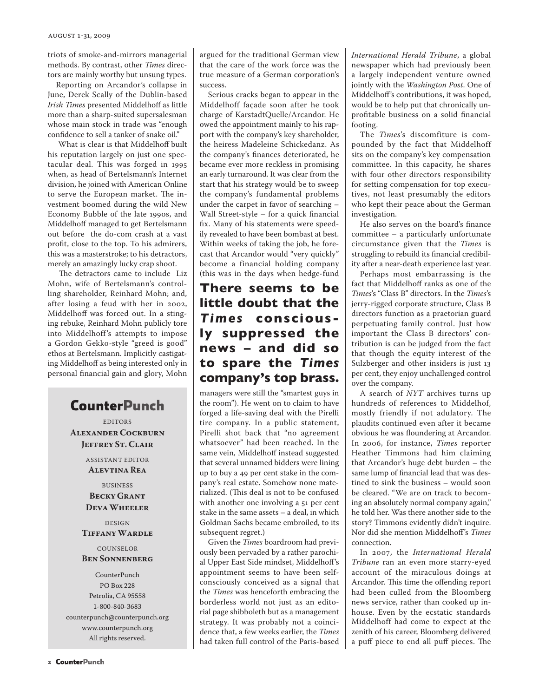triots of smoke-and-mirrors managerial methods. By contrast, other *Times* directors are mainly worthy but unsung types.

Reporting on Arcandor's collapse in June, Derek Scally of the Dublin-based *Irish Times* presented Middelhoff as little more than a sharp-suited supersalesman whose main stock in trade was "enough confidence to sell a tanker of snake oil."

 What is clear is that Middelhoff built his reputation largely on just one spectacular deal. This was forged in 1995 when, as head of Bertelsmann's Internet division, he joined with American Online to serve the European market. The investment boomed during the wild New Economy Bubble of the late 1990s, and Middelhoff managed to get Bertelsmann out before the do-com crash at a vast profit, close to the top. To his admirers, this was a masterstroke; to his detractors, merely an amazingly lucky crap shoot.

 The detractors came to include Liz Mohn, wife of Bertelsmann's controlling shareholder, Reinhard Mohn; and, after losing a feud with her in 2002, Middelhoff was forced out. In a stinging rebuke, Reinhard Mohn publicly tore into Middelhoff's attempts to impose a Gordon Gekko-style "greed is good" ethos at Bertelsmann. Implicitly castigating Middelhoff as being interested only in personal financial gain and glory, Mohn

# **CounterPunch**

EDITORS **Alexander Cockburn Jeffrey St. Clair**

> ASSISTANT EDITOR **Alevtina Rea**

BUSINESS **Becky Grant Deva Wheeler**

#### DESIGN **Tiffany Wardle**

#### **COUNSELOR Ben Sonnenberg**

CounterPunch PO Box 228 Petrolia, CA 95558 1-800-840-3683 counterpunch@counterpunch.org www.counterpunch.org All rights reserved.

argued for the traditional German view that the care of the work force was the true measure of a German corporation's success.

Serious cracks began to appear in the Middelhoff façade soon after he took charge of KarstadtQuelle/Arcandor. He owed the appointment mainly to his rapport with the company's key shareholder, the heiress Madeleine Schickedanz. As the company's finances deteriorated, he became ever more reckless in promising an early turnaround. It was clear from the start that his strategy would be to sweep the company's fundamental problems under the carpet in favor of searching – Wall Street-style – for a quick financial fix. Many of his statements were speedily revealed to have been bombast at best. Within weeks of taking the job, he forecast that Arcandor would "very quickly" become a financial holding company (this was in the days when hedge-fund

## **There seems to be little doubt that the**  *T ime s* **consciously suppressed the news – and did so to spare the** *Times* **company's top brass.**

managers were still the "smartest guys in the room"). He went on to claim to have forged a life-saving deal with the Pirelli tire company. In a public statement, Pirelli shot back that "no agreement whatsoever" had been reached. In the same vein, Middelhoff instead suggested that several unnamed bidders were lining up to buy a 49 per cent stake in the company's real estate. Somehow none materialized. (This deal is not to be confused with another one involving a 51 per cent stake in the same assets – a deal, in which Goldman Sachs became embroiled, to its subsequent regret.)

Given the *Times* boardroom had previously been pervaded by a rather parochial Upper East Side mindset, Middelhoff's appointment seems to have been selfconsciously conceived as a signal that the *Times* was henceforth embracing the borderless world not just as an editorial page shibboleth but as a management strategy. It was probably not a coincidence that, a few weeks earlier, the *Times* had taken full control of the Paris-based

*International Herald Tribune*, a global newspaper which had previously been a largely independent venture owned jointly with the *Washington Post*. One of Middelhoff's contributions, it was hoped, would be to help put that chronically unprofitable business on a solid financial footing.

The *Times*'s discomfiture is compounded by the fact that Middelhoff sits on the company's key compensation committee. In this capacity, he shares with four other directors responsibility for setting compensation for top executives, not least presumably the editors who kept their peace about the German investigation.

He also serves on the board's finance committee – a particularly unfortunate circumstance given that the *Times* is struggling to rebuild its financial credibility after a near-death experience last year.

Perhaps most embarrassing is the fact that Middelhoff ranks as one of the *Times*'s "Class B" directors. In the *Times*'s jerry-rigged corporate structure, Class B directors function as a praetorian guard perpetuating family control. Just how important the Class B directors' contribution is can be judged from the fact that though the equity interest of the Sulzberger and other insiders is just 13 per cent, they enjoy unchallenged control over the company.

A search of *NYT* archives turns up hundreds of references to Middelhof, mostly friendly if not adulatory. The plaudits continued even after it became obvious he was floundering at Arcandor. In 2006, for instance, *Times* reporter Heather Timmons had him claiming that Arcandor's huge debt burden – the same lump of financial lead that was destined to sink the business – would soon be cleared. "We are on track to becoming an absolutely normal company again," he told her. Was there another side to the story? Timmons evidently didn't inquire. Nor did she mention Middelhoff's *Times* connection.

In 2007, the *International Herald Tribune* ran an even more starry-eyed account of the miraculous doings at Arcandor. This time the offending report had been culled from the Bloomberg news service, rather than cooked up inhouse. Even by the ecstatic standards Middelhoff had come to expect at the zenith of his career, Bloomberg delivered a puff piece to end all puff pieces. The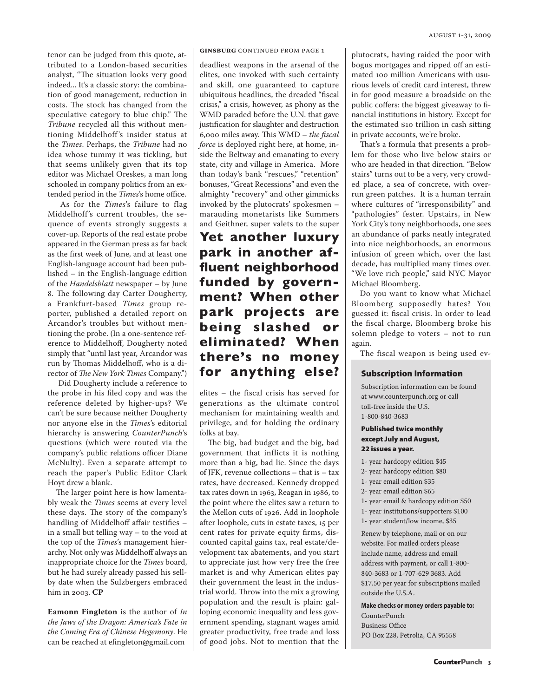tenor can be judged from this quote, attributed to a London-based securities analyst, "The situation looks very good indeed... It's a classic story: the combination of good management, reduction in costs. The stock has changed from the speculative category to blue chip." The *Tribune* recycled all this without mentioning Middelhoff's insider status at the *Times*. Perhaps, the *Tribune* had no idea whose tummy it was tickling, but that seems unlikely given that its top editor was Michael Oreskes, a man long schooled in company politics from an extended period in the *Times*'s home office.

 As for the *Times*'s failure to flag Middelhoff's current troubles, the sequence of events strongly suggests a cover-up. Reports of the real estate probe appeared in the German press as far back as the first week of June, and at least one English-language account had been published – in the English-language edition of the *Handelsblatt* newspaper – by June 8. The following day Carter Dougherty, a Frankfurt-based *Times* group reporter, published a detailed report on Arcandor's troubles but without mentioning the probe. (In a one-sentence reference to Middelhoff, Dougherty noted simply that "until last year, Arcandor was run by Thomas Middelhoff, who is a director of *The New York Times* Company.")

 Did Dougherty include a reference to the probe in his filed copy and was the reference deleted by higher-ups? We can't be sure because neither Dougherty nor anyone else in the *Times*'s editorial hierarchy is answering *CounterPunch*'s questions (which were routed via the company's public relations officer Diane McNulty). Even a separate attempt to reach the paper's Public Editor Clark Hoyt drew a blank.

The larger point here is how lamentably weak the *Times* seems at every level these days. The story of the company's handling of Middelhoff affair testifies – in a small but telling way – to the void at the top of the *Times*'s management hierarchy. Not only was Middelhoff always an inappropriate choice for the *Times* board, but he had surely already passed his sellby date when the Sulzbergers embraced him in 2003. **CP** 

**Eamonn Fingleton** is the author of *In the Jaws of the Dragon: America's Fate in the Coming Era of Chinese Hegemony*. He can be reached at efingleton@gmail.com

**GINSBURG** CONTINUED FROM PAGE 1

deadliest weapons in the arsenal of the elites, one invoked with such certainty and skill, one guaranteed to capture ubiquitous headlines, the dreaded "fiscal crisis," a crisis, however, as phony as the WMD paraded before the U.N. that gave justification for slaughter and destruction 6,000 miles away. This WMD – *the fiscal force* is deployed right here, at home, inside the Beltway and emanating to every state, city and village in America. More than today's bank "rescues," "retention" bonuses, "Great Recessions" and even the almighty "recovery" and other gimmicks invoked by the plutocrats' spokesmen – marauding monetarists like Summers and Geithner, super valets to the super

## **Yet another luxury park in another affluent neighborhood funded by government? When other park projects are being slashed or eliminated? When there's no money for anything else?**

elites – the fiscal crisis has served for generations as the ultimate control mechanism for maintaining wealth and privilege, and for holding the ordinary folks at bay.

The big, bad budget and the big, bad government that inflicts it is nothing more than a big, bad lie. Since the days of JFK, revenue collections – that is – tax rates, have decreased. Kennedy dropped tax rates down in 1963, Reagan in 1986, to the point where the elites saw a return to the Mellon cuts of 1926. Add in loophole after loophole, cuts in estate taxes, 15 per cent rates for private equity firms, discounted capital gains tax, real estate/development tax abatements, and you start to appreciate just how very free the free market is and why American elites pay their government the least in the industrial world. Throw into the mix a growing population and the result is plain: galloping economic inequality and less government spending, stagnant wages amid greater productivity, free trade and loss of good jobs. Not to mention that the plutocrats, having raided the poor with bogus mortgages and ripped off an estimated 100 million Americans with usurious levels of credit card interest, threw in for good measure a broadside on the public coffers: the biggest giveaway to financial institutions in history. Except for the estimated \$10 trillion in cash sitting in private accounts, we're broke.

That's a formula that presents a problem for those who live below stairs or who are headed in that direction. "Below stairs" turns out to be a very, very crowded place, a sea of concrete, with overrun green patches. It is a human terrain where cultures of "irresponsibility" and "pathologies" fester. Upstairs, in New York City's tony neighborhoods, one sees an abundance of parks neatly integrated into nice neighborhoods, an enormous infusion of green which, over the last decade, has multiplied many times over. "We love rich people," said NYC Mayor Michael Bloomberg.

Do you want to know what Michael Bloomberg supposedly hates? You guessed it: fiscal crisis. In order to lead the fiscal charge, Bloomberg broke his solemn pledge to voters – not to run again.

The fiscal weapon is being used ev-

#### Subscription Information

Subscription information can be found at www.counterpunch.org or call toll-free inside the U.S. 1-800-840-3683

#### Published twice monthly except July and August, 22 issues a year.

- 1- year hardcopy edition \$45
- 2- year hardcopy edition \$80
- 1- year email edition \$35
- 2- year email edition \$65
- 1- year email & hardcopy edition \$50
- 1- year institutions/supporters \$100
- 1- year student/low income, \$35

Renew by telephone, mail or on our website. For mailed orders please include name, address and email address with payment, or call 1-800- 840-3683 or 1-707-629 3683. Add \$17.50 per year for subscriptions mailed outside the U.S.A.

**Make checks or money orders payable to:** 

CounterPunch Business Office PO Box 228, Petrolia, CA 95558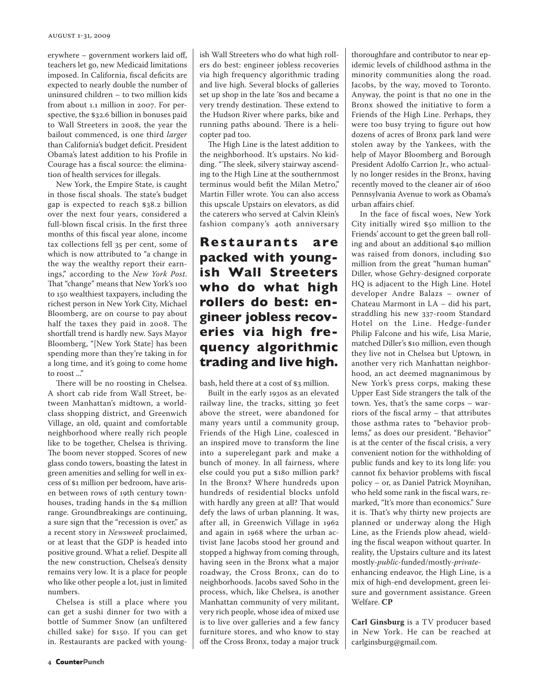erywhere – government workers laid off, teachers let go, new Medicaid limitations imposed. In California, fiscal deficits are expected to nearly double the number of uninsured children – to two million kids from about 1.1 million in 2007. For perspective, the \$32.6 billion in bonuses paid to Wall Streeters in 2008, the year the bailout commenced, is one third *larger* than California's budget deficit. President Obama's latest addition to his Profile in Courage has a fiscal source: the elimination of health services for illegals.

New York, the Empire State, is caught in those fiscal shoals. The state's budget gap is expected to reach \$38.2 billion over the next four years, considered a full-blown fiscal crisis. In the first three months of this fiscal year alone, income tax collections fell 35 per cent, some of which is now attributed to "a change in the way the wealthy report their earnings," according to the *New York Post*. That "change" means that New York's 100 to 150 wealthiest taxpayers, including the richest person in New York City, Michael Bloomberg, are on course to pay about half the taxes they paid in 2008. The shortfall trend is hardly new. Says Mayor Bloomberg, "[New York State] has been spending more than they're taking in for a long time, and it's going to come home to roost ..."

There will be no roosting in Chelsea. A short cab ride from Wall Street, between Manhattan's midtown, a worldclass shopping district, and Greenwich Village, an old, quaint and comfortable neighborhood where really rich people like to be together, Chelsea is thriving. The boom never stopped. Scores of new glass condo towers, boasting the latest in green amenities and selling for well in excess of \$1 million per bedroom, have arisen between rows of 19th century townhouses, trading hands in the \$4 million range. Groundbreakings are continuing, a sure sign that the "recession is over," as a recent story in *Newsweek* proclaimed, or at least that the GDP is headed into positive ground. What a relief. Despite all the new construction, Chelsea's density remains very low. It is a place for people who like other people a lot, just in limited numbers.

Chelsea is still a place where you can get a sushi dinner for two with a bottle of Summer Snow (an unfiltered chilled sake) for \$150. If you can get in. Restaurants are packed with youngish Wall Streeters who do what high rollers do best: engineer jobless recoveries via high frequency algorithmic trading and live high. Several blocks of galleries set up shop in the late '80s and became a very trendy destination. These extend to the Hudson River where parks, bike and running paths abound. There is a helicopter pad too.

The High Line is the latest addition to the neighborhood. It's upstairs. No kidding. "The sleek, silvery stairway ascending to the High Line at the southernmost terminus would befit the Milan Metro," Martin Filler wrote. You can also access this upscale Upstairs on elevators, as did the caterers who served at Calvin Klein's fashion company's 40th anniversary

## **Restaurants are packed with youngish Wall Streeters who do what high rollers do best: engineer jobless recoveries via high frequency algorithmic trading and live high.**

bash, held there at a cost of \$3 million.

Built in the early 1930s as an elevated railway line, the tracks, sitting 30 feet above the street, were abandoned for many years until a community group, Friends of the High Line, coalesced in an inspired move to transform the line into a superelegant park and make a bunch of money. In all fairness, where else could you put a \$180 million park? In the Bronx? Where hundreds upon hundreds of residential blocks unfold with hardly any green at all? That would defy the laws of urban planning. It was, after all, in Greenwich Village in 1962 and again in 1968 where the urban activist Jane Jacobs stood her ground and stopped a highway from coming through, having seen in the Bronx what a major roadway, the Cross Bronx, can do to neighborhoods. Jacobs saved Soho in the process, which, like Chelsea, is another Manhattan community of very militant, very rich people, whose idea of mixed use is to live over galleries and a few fancy furniture stores, and who know to stay off the Cross Bronx, today a major truck

thoroughfare and contributor to near epidemic levels of childhood asthma in the minority communities along the road. Jacobs, by the way, moved to Toronto. Anyway, the point is that no one in the Bronx showed the initiative to form a Friends of the High Line. Perhaps, they were too busy trying to figure out how dozens of acres of Bronx park land were stolen away by the Yankees, with the help of Mayor Bloomberg and Borough President Adolfo Carrion Jr., who actually no longer resides in the Bronx, having recently moved to the cleaner air of 1600 Pennsylvania Avenue to work as Obama's urban affairs chief.

In the face of fiscal woes, New York City initially wired \$50 million to the Friends' account to get the green ball rolling and about an additional \$40 million was raised from donors, including \$10 million from the great "human human" Diller, whose Gehry-designed corporate HQ is adjacent to the High Line. Hotel developer Andre Balazs – owner of Chateau Marmont in LA – did his part, straddling his new 337-room Standard Hotel on the Line. Hedge-funder Philip Falcone and his wife, Lisa Marie, matched Diller's \$10 million, even though they live not in Chelsea but Uptown*,* in another very rich Manhattan neighborhood, an act deemed magnanimous by New York's press corps, making these Upper East Side strangers the talk of the town. Yes, that's the same corps – warriors of the fiscal army – that attributes those asthma rates to "behavior problems," as does our president. "Behavior" is at the center of the fiscal crisis, a very convenient notion for the withholding of public funds and key to its long life: you cannot fix behavior problems with fiscal policy – or, as Daniel Patrick Moynihan, who held some rank in the fiscal wars, remarked, "It's more than economics." Sure it is. That's why thirty new projects are planned or underway along the High Line, as the Friends plow ahead, wielding the fiscal weapon without quarter. In reality, the Upstairs culture and its latest mostly-*public*-funded/mostly-*private*enhancing endeavor, the High Line, is a

mix of high-end development, green leisure and government assistance. Green Welfare. **CP**

**Carl Ginsburg** is a TV producer based in New York. He can be reached at carlginsburg@gmail.com.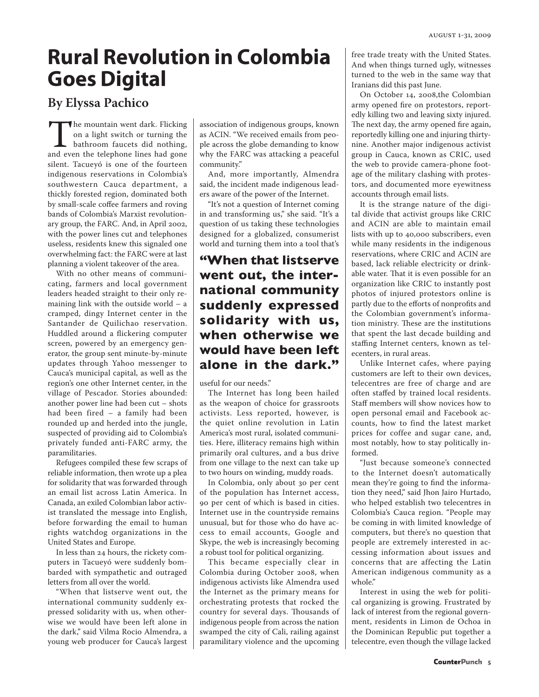# **Rural Revolution in Colombia Goes Digital**

## **By Elyssa Pachico**

The mountain went dark. Flicking<br>
on a light switch or turning the<br>
bathroom faucets did nothing,<br>
and even the telephone lines had gone on a light switch or turning the bathroom faucets did nothing, silent. Tacueyó is one of the fourteen indigenous reservations in Colombia's southwestern Cauca department, a thickly forested region, dominated both by small-scale coffee farmers and roving bands of Colombia's Marxist revolutionary group, the FARC. And, in April 2002, with the power lines cut and telephones useless, residents knew this signaled one overwhelming fact: the FARC were at last planning a violent takeover of the area.

With no other means of communicating, farmers and local government leaders headed straight to their only remaining link with the outside world – a cramped, dingy Internet center in the Santander de Quilichao reservation. Huddled around a flickering computer screen, powered by an emergency generator, the group sent minute-by-minute updates through Yahoo messenger to Cauca's municipal capital, as well as the region's one other Internet center, in the village of Pescador. Stories abounded: another power line had been cut – shots had been fired – a family had been rounded up and herded into the jungle, suspected of providing aid to Colombia's privately funded anti-FARC army, the paramilitaries.

Refugees compiled these few scraps of reliable information, then wrote up a plea for solidarity that was forwarded through an email list across Latin America. In Canada, an exiled Colombian labor activist translated the message into English, before forwarding the email to human rights watchdog organizations in the United States and Europe.

In less than 24 hours, the rickety computers in Tacueyó were suddenly bombarded with sympathetic and outraged letters from all over the world.

"When that listserve went out, the international community suddenly expressed solidarity with us, when otherwise we would have been left alone in the dark," said Vilma Rocio Almendra, a young web producer for Cauca's largest association of indigenous groups, known as ACIN. "We received emails from people across the globe demanding to know why the FARC was attacking a peaceful community."

And, more importantly, Almendra said, the incident made indigenous leaders aware of the power of the Internet.

"It's not a question of Internet coming in and transforming us," she said. "It's a question of us taking these technologies designed for a globalized, consumerist world and turning them into a tool that's

## **"When that listserve went out, the international community suddenly expressed solidarity with us, when otherwise we would have been left alone in the dark."**

useful for our needs."

The Internet has long been hailed as the weapon of choice for grassroots activists. Less reported, however, is the quiet online revolution in Latin America's most rural, isolated communities. Here, illiteracy remains high within primarily oral cultures, and a bus drive from one village to the next can take up to two hours on winding, muddy roads.

In Colombia, only about 30 per cent of the population has Internet access, 90 per cent of which is based in cities. Internet use in the countryside remains unusual, but for those who do have access to email accounts, Google and Skype, the web is increasingly becoming a robust tool for political organizing.

This became especially clear in Colombia during October 2008, when indigenous activists like Almendra used the Internet as the primary means for orchestrating protests that rocked the country for several days. Thousands of indigenous people from across the nation swamped the city of Cali, railing against paramilitary violence and the upcoming free trade treaty with the United States. And when things turned ugly, witnesses turned to the web in the same way that Iranians did this past June.

On October 14, 2008,the Colombian army opened fire on protestors, reportedly killing two and leaving sixty injured. The next day, the army opened fire again, reportedly killing one and injuring thirtynine. Another major indigenous activist group in Cauca, known as CRIC, used the web to provide camera-phone footage of the military clashing with protestors, and documented more eyewitness accounts through email lists.

It is the strange nature of the digital divide that activist groups like CRIC and ACIN are able to maintain email lists with up to 40,000 subscribers, even while many residents in the indigenous reservations, where CRIC and ACIN are based, lack reliable electricity or drinkable water. That it is even possible for an organization like CRIC to instantly post photos of injured protestors online is partly due to the efforts of nonprofits and the Colombian government's information ministry. These are the institutions that spent the last decade building and staffing Internet centers, known as telecenters, in rural areas.

Unlike Internet cafes, where paying customers are left to their own devices, telecentres are free of charge and are often staffed by trained local residents. Staff members will show novices how to open personal email and Facebook accounts, how to find the latest market prices for coffee and sugar cane, and, most notably, how to stay politically informed.

"Just because someone's connected to the Internet doesn't automatically mean they're going to find the information they need," said Jhon Jairo Hurtado, who helped establish two telecentres in Colombia's Cauca region. "People may be coming in with limited knowledge of computers, but there's no question that people are extremely interested in accessing information about issues and concerns that are affecting the Latin American indigenous community as a whole."

Interest in using the web for political organizing is growing. Frustrated by lack of interest from the regional government, residents in Limon de Ochoa in the Dominican Republic put together a telecentre, even though the village lacked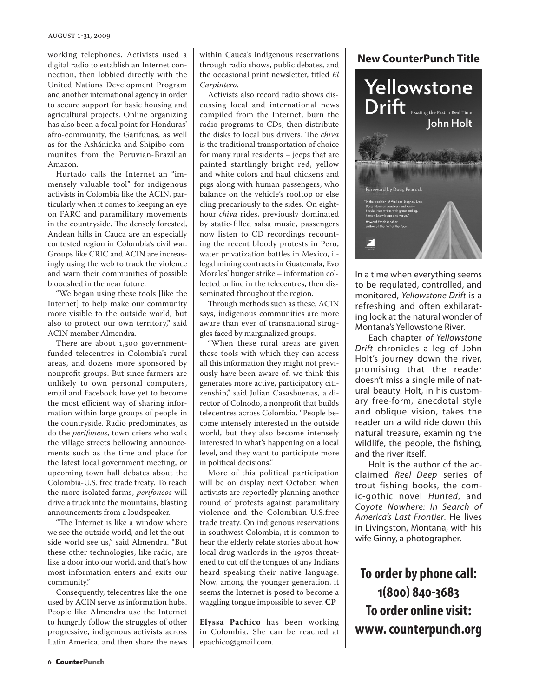#### august 1-31, 2009

working telephones. Activists used a digital radio to establish an Internet connection, then lobbied directly with the United Nations Development Program and another international agency in order to secure support for basic housing and agricultural projects. Online organizing has also been a focal point for Honduras' afro-community, the Garifunas, as well as for the Asháninka and Shipibo communites from the Peruvian-Brazilian Amazon.

Hurtado calls the Internet an "immensely valuable tool" for indigenous activists in Colombia like the ACIN, particularly when it comes to keeping an eye on FARC and paramilitary movements in the countryside. The densely forested, Andean hills in Cauca are an especially contested region in Colombia's civil war. Groups like CRIC and ACIN are increasingly using the web to track the violence and warn their communities of possible bloodshed in the near future.

"We began using these tools [like the Internet] to help make our community more visible to the outside world, but also to protect our own territory," said ACIN member Almendra.

There are about 1,300 governmentfunded telecentres in Colombia's rural areas, and dozens more sponsored by nonprofit groups. But since farmers are unlikely to own personal computers, email and Facebook have yet to become the most efficient way of sharing information within large groups of people in the countryside. Radio predominates, as do the *perifoneos*, town criers who walk the village streets bellowing announcements such as the time and place for the latest local government meeting, or upcoming town hall debates about the Colombia-U.S. free trade treaty. To reach the more isolated farms, *perifoneos* will drive a truck into the mountains, blasting announcements from a loudspeaker.

"The Internet is like a window where we see the outside world, and let the outside world see us," said Almendra. "But these other technologies, like radio, are like a door into our world, and that's how most information enters and exits our community."

Consequently, telecentres like the one used by ACIN serve as information hubs. People like Almendra use the Internet to hungrily follow the struggles of other progressive, indigenous activists across Latin America, and then share the news

within Cauca's indigenous reservations through radio shows, public debates, and the occasional print newsletter, titled *El Carpintero*.

Activists also record radio shows discussing local and international news compiled from the Internet, burn the radio programs to CDs, then distribute the disks to local bus drivers. The *chiva* is the traditional transportation of choice for many rural residents – jeeps that are painted startlingly bright red, yellow and white colors and haul chickens and pigs along with human passengers, who balance on the vehicle's rooftop or else cling precariously to the sides. On eighthour *chiva* rides, previously dominated by static-filled salsa music, passengers now listen to CD recordings recounting the recent bloody protests in Peru, water privatization battles in Mexico, illegal mining contracts in Guatemala, Evo Morales' hunger strike – information collected online in the telecentres, then disseminated throughout the region.

Through methods such as these, ACIN says, indigenous communities are more aware than ever of transnational struggles faced by marginalized groups.

"When these rural areas are given these tools with which they can access all this information they might not previously have been aware of, we think this generates more active, participatory citizenship," said Julian Casasbuenas, a director of Colnodo, a nonprofit that builds telecentres across Colombia. "People become intensely interested in the outside world, but they also become intensely interested in what's happening on a local level, and they want to participate more in political decisions."

More of this political participation will be on display next October, when activists are reportedly planning another round of protests against paramilitary violence and the Colombian-U.S.free trade treaty. On indigenous reservations in southwest Colombia, it is common to hear the elderly relate stories about how local drug warlords in the 1970s threatened to cut off the tongues of any Indians heard speaking their native language. Now, among the younger generation, it seems the Internet is posed to become a waggling tongue impossible to sever. **CP**

**Elyssa Pachico** has been working in Colombia. She can be reached at epachico@gmail.com.

#### **New CounterPunch Title**



In a time when everything seems to be regulated, controlled, and monitored, *Yellowstone Drift* is a refreshing and often exhilarating look at the natural wonder of Montana's Yellowstone River.

Each chapter *of Yellowstone Drift* chronicles a leg of John Holt's journey down the river, promising that the reader doesn't miss a single mile of natural beauty. Holt, in his customary free-form, anecdotal style and oblique vision, takes the reader on a wild ride down this natural treasure, examining the wildlife, the people, the fishing, and the river itself.

Holt is the author of the acclaimed *Reel Deep* series of trout fishing books, the comic-gothic novel *Hunted*, and *Coyote Nowhere: In Search of America's Last Frontier*. He lives in Livingston, Montana, with his wife Ginny, a photographer.

**To order by phone call: 1(800) 840-3683 To order online visit: www. counterpunch.org**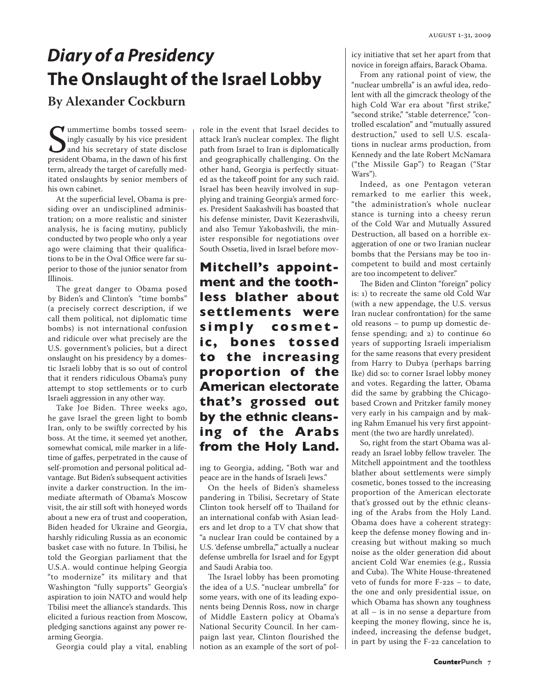# *Diary of a Presidency* **The Onslaught of the Israel Lobby**

## **By Alexander Cockburn**

Summertime bombs tossed seem-<br>
ingly casually by his vice president<br>
and his secretary of state disclose<br>
president Obama, in the dawn of his first ummertime bombs tossed seemingly casually by his vice president and his secretary of state disclose term, already the target of carefully meditated onslaughts by senior members of his own cabinet.

At the superficial level, Obama is presiding over an undisciplined administration; on a more realistic and sinister analysis, he is facing mutiny, publicly conducted by two people who only a year ago were claiming that their qualifications to be in the Oval Office were far superior to those of the junior senator from Illinois.

The great danger to Obama posed by Biden's and Clinton's "time bombs" (a precisely correct description, if we call them political, not diplomatic time bombs) is not international confusion and ridicule over what precisely are the U.S. government's policies, but a direct onslaught on his presidency by a domestic Israeli lobby that is so out of control that it renders ridiculous Obama's puny attempt to stop settlements or to curb Israeli aggression in any other way.

Take Joe Biden. Three weeks ago, he gave Israel the green light to bomb Iran, only to be swiftly corrected by his boss. At the time, it seemed yet another, somewhat comical, mile marker in a lifetime of gaffes, perpetrated in the cause of self-promotion and personal political advantage. But Biden's subsequent activities invite a darker construction. In the immediate aftermath of Obama's Moscow visit, the air still soft with honeyed words about a new era of trust and cooperation, Biden headed for Ukraine and Georgia, harshly ridiculing Russia as an economic basket case with no future. In Tbilisi, he told the Georgian parliament that the U.S.A. would continue helping Georgia "to modernize" its military and that Washington "fully supports" Georgia's aspiration to join NATO and would help Tbilisi meet the alliance's standards. This elicited a furious reaction from Moscow, pledging sanctions against any power rearming Georgia.

Georgia could play a vital, enabling

role in the event that Israel decides to attack Iran's nuclear complex. The flight path from Israel to Iran is diplomatically and geographically challenging. On the other hand, Georgia is perfectly situated as the takeoff point for any such raid. Israel has been heavily involved in supplying and training Georgia's armed forces. President Saakashvili has boasted that his defense minister, Davit Kezerashvili, and also Temur Yakobashvili, the minister responsible for negotiations over South Ossetia, lived in Israel before mov-

**Mitchell's appointment and the toothless blather about settlements were s i m p l y c o s m e t ic, bones tossed to the increasing proportion of the American electorate that's grossed out by the ethnic cleansing of the Arabs from the Holy Land.** 

ing to Georgia, adding, "Both war and peace are in the hands of Israeli Jews."

On the heels of Biden's shameless pandering in Tbilisi, Secretary of State Clinton took herself off to Thailand for an international confab with Asian leaders and let drop to a TV chat show that "a nuclear Iran could be contained by a U.S. 'defense umbrella,'" actually a nuclear defense umbrella for Israel and for Egypt and Saudi Arabia too.

The Israel lobby has been promoting the idea of a U.S. "nuclear umbrella" for some years, with one of its leading exponents being Dennis Ross, now in charge of Middle Eastern policy at Obama's National Security Council. In her campaign last year, Clinton flourished the notion as an example of the sort of policy initiative that set her apart from that novice in foreign affairs, Barack Obama.

From any rational point of view, the "nuclear umbrella" is an awful idea, redolent with all the gimcrack theology of the high Cold War era about "first strike," "second strike," "stable deterrence," "controlled escalation" and "mutually assured destruction," used to sell U.S. escalations in nuclear arms production, from Kennedy and the late Robert McNamara ("the Missile Gap") to Reagan ("Star Wars").

Indeed, as one Pentagon veteran remarked to me earlier this week, "the administration's whole nuclear stance is turning into a cheesy rerun of the Cold War and Mutually Assured Destruction, all based on a horrible exaggeration of one or two Iranian nuclear bombs that the Persians may be too incompetent to build and most certainly are too incompetent to deliver."

The Biden and Clinton "foreign" policy is: 1) to recreate the same old Cold War (with a new appendage, the U.S. versus Iran nuclear confrontation) for the same old reasons – to pump up domestic defense spending; and 2) to continue 60 years of supporting Israeli imperialism for the same reasons that every president from Harry to Dubya (perhaps barring Ike) did so: to corner Israel lobby money and votes. Regarding the latter, Obama did the same by grabbing the Chicagobased Crown and Pritzker family money very early in his campaign and by making Rahm Emanuel his very first appointment (the two are hardly unrelated).

So, right from the start Obama was already an Israel lobby fellow traveler. The Mitchell appointment and the toothless blather about settlements were simply cosmetic, bones tossed to the increasing proportion of the American electorate that's grossed out by the ethnic cleansing of the Arabs from the Holy Land. Obama does have a coherent strategy: keep the defense money flowing and increasing but without making so much noise as the older generation did about ancient Cold War enemies (e.g., Russia and Cuba). The White House-threatened veto of funds for more F-22s – to date, the one and only presidential issue, on which Obama has shown any toughness at all – is in no sense a departure from keeping the money flowing, since he is, indeed, increasing the defense budget, in part by using the F-22 cancelation to